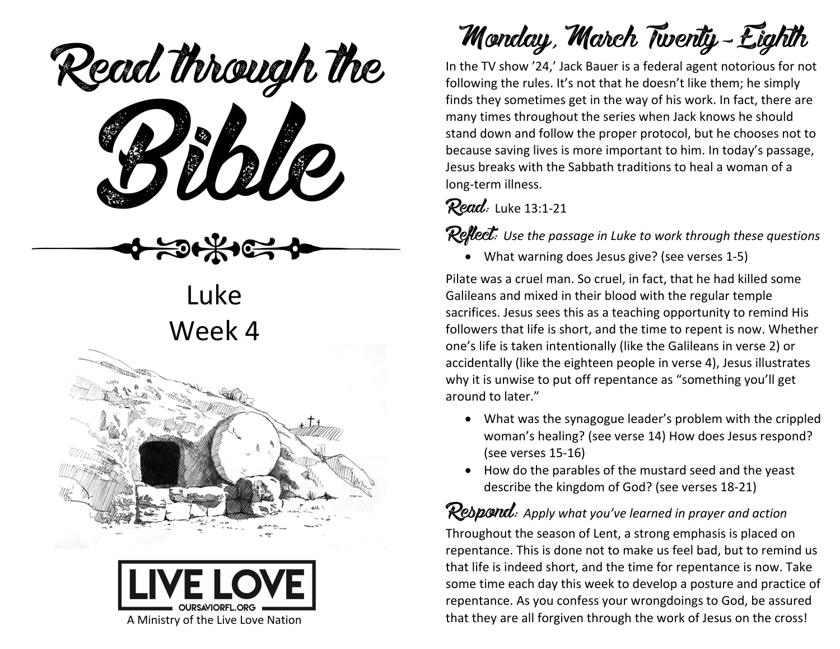ead mough is Read through the

Luke Week 4





Monday, March Twenty-Eighth

In the TV show '24,' Jack Bauer is a federal agent notorious for not following the rules. It's not that he doesn't like them; he simply finds they sometimes get in the way of his work. In fact, there are many times throughout the series when Jack knows he should stand down and follow the proper protocol, but he chooses not to because saving lives is more important to him. In today's passage, Jesus breaks with the Sabbath traditions to heal a woman of a long-term illness.

#### **Read:** Luke 13:1-21

Reflect: Use the passage in Luke to work through these questions

• What warning does Jesus give? (see verses 1-5)

Pilate was a cruel man. So cruel, in fact, that he had killed some Galileans and mixed in their blood with the regular temple sacrifices. Jesus sees this as a teaching opportunity to remind His followers that life is short, and the time to repent is now. Whether one's life is taken intentionally (like the Galileans in verse 2) or accidentally (like the eighteen people in verse 4), Jesus illustrates why it is unwise to put off repentance as "something you'll get around to later."

- What was the synagogue leader's problem with the crippled woman's healing? (see verse 14) How does Jesus respond? (see verses 15-16)
- How do the parables of the mustard seed and the yeast describe the kingdom of God? (see verses 18-21)

Respond: *Apply what you've learned in prayer and action* Throughout the season of Lent, a strong emphasis is placed on repentance. This is done not to make us feel bad, but to remind us that life is indeed short, and the time for repentance is now. Take some time each day this week to develop a posture and practice of repentance. As you confess your wrongdoings to God, be assured that they are all forgiven through the work of Jesus on the cross!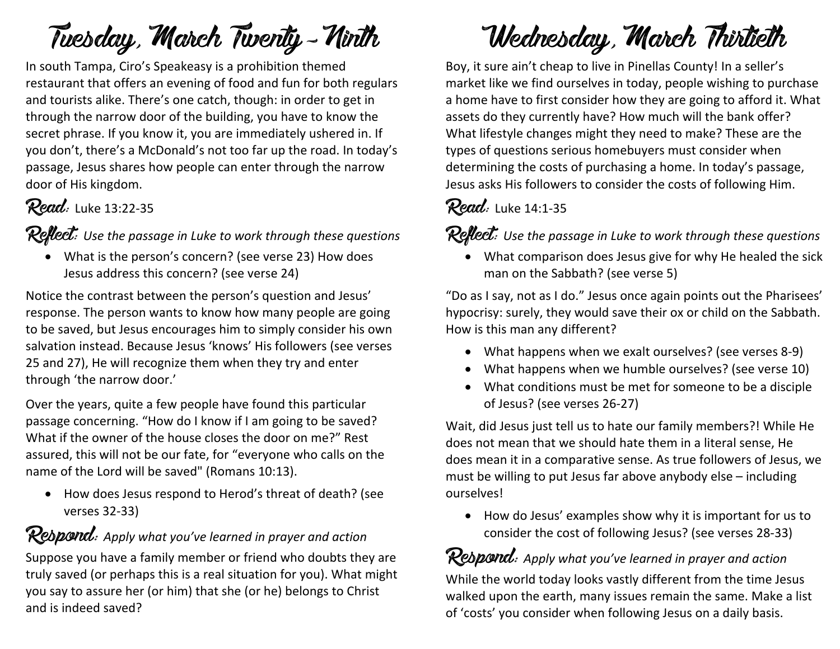# Tuesday, March Twenty-Ninth

In south Tampa, Ciro's Speakeasy is a prohibition themed restaurant that offers an evening of food and fun for both regulars and tourists alike. There's one catch, though: in order to get in through the narrow door of the building, you have to know the secret phrase. If you know it, you are immediately ushered in. If you don't, there's a McDonald's not too far up the road. In today's passage, Jesus shares how people can enter through the narrow door of His kingdom.

#### Read: Luke 13:22-35

Reflect: *Use the passage in Luke to work through these questions*

• What is the person's concern? (see verse 23) How does Jesus address this concern? (see verse 24)

Notice the contrast between the person's question and Jesus' response. The person wants to know how many people are going to be saved, but Jesus encourages him to simply consider his own salvation instead. Because Jesus 'knows' His followers (see verses 25 and 27), He will recognize them when they try and enter through 'the narrow door.'

Over the years, quite a few people have found this particular passage concerning. "How do I know if I am going to be saved? What if the owner of the house closes the door on me?" Rest assured, this will not be our fate, for "everyone who calls on the name of the Lord will be saved" (Romans 10:13).

• How does Jesus respond to Herod's threat of death? (see verses 32-33)

#### **Respond:** Apply what you've learned in prayer and action

Suppose you have a family member or friend who doubts they are truly saved (or perhaps this is a real situation for you). What might you say to assure her (or him) that she (or he) belongs to Christ and is indeed saved?

# Wednesday, March Thirtieth

Boy, it sure ain't cheap to live in Pinellas County! In a seller's market like we find ourselves in today, people wishing to purchase a home have to first consider how they are going to afford it. What assets do they currently have? How much will the bank offer? What lifestyle changes might they need to make? These are the types of questions serious homebuyers must consider when determining the costs of purchasing a home. In today's passage, Jesus asks His followers to consider the costs of following Him.

#### Read: Luke 14:1-35

Reflect: *Use the passage in Luke to work through these questions*

• What comparison does Jesus give for why He healed the sick man on the Sabbath? (see verse 5)

"Do as I say, not as I do." Jesus once again points out the Pharisees' hypocrisy: surely, they would save their ox or child on the Sabbath. How is this man any different?

- What happens when we exalt ourselves? (see verses 8-9)
- What happens when we humble ourselves? (see verse 10)
- What conditions must be met for someone to be a disciple of Jesus? (see verses 26-27)

Wait, did Jesus just tell us to hate our family members?! While He does not mean that we should hate them in a literal sense, He does mean it in a comparative sense. As true followers of Jesus, we must be willing to put Jesus far above anybody else – including ourselves!

• How do Jesus' examples show why it is important for us to consider the cost of following Jesus? (see verses 28-33)

## Respond: Apply what you've learned in prayer and action

While the world today looks vastly different from the time Jesus walked upon the earth, many issues remain the same. Make a list of 'costs' you consider when following Jesus on a daily basis.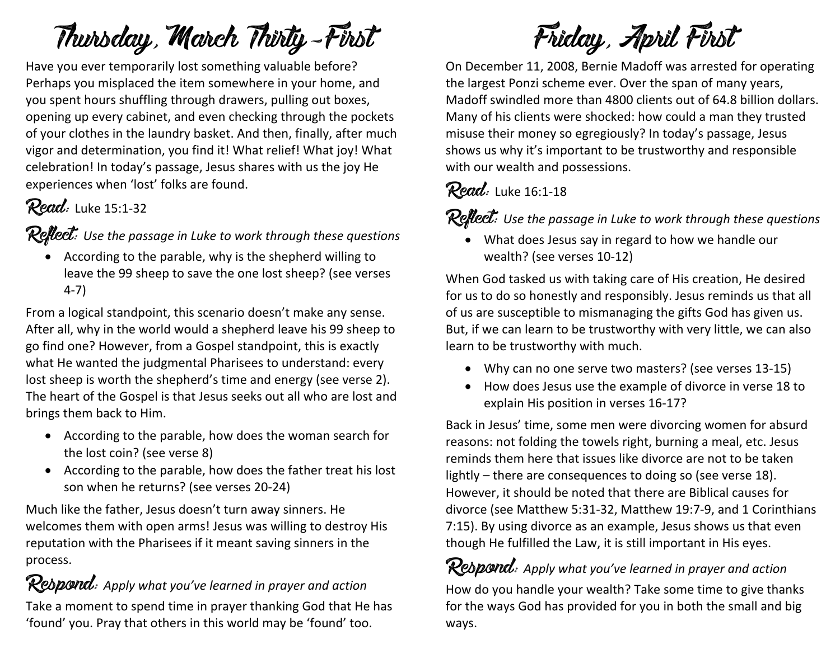Thursday, March Thirty-First

Have you ever temporarily lost something valuable before? Perhaps you misplaced the item somewhere in your home, and you spent hours shuffling through drawers, pulling out boxes, opening up every cabinet, and even checking through the pockets of your clothes in the laundry basket. And then, finally, after much vigor and determination, you find it! What relief! What joy! What celebration! In today's passage, Jesus shares with us the joy He experiences when 'lost' folks are found.

#### Read: Luke 15:1-32

Reflect: *Use the passage in Luke to work through these questions*

• According to the parable, why is the shepherd willing to leave the 99 sheep to save the one lost sheep? (see verses 4-7)

From a logical standpoint, this scenario doesn't make any sense. After all, why in the world would a shepherd leave his 99 sheep to go find one? However, from a Gospel standpoint, this is exactly what He wanted the judgmental Pharisees to understand: every lost sheep is worth the shepherd's time and energy (see verse 2). The heart of the Gospel is that Jesus seeks out all who are lost and brings them back to Him.

- According to the parable, how does the woman search for the lost coin? (see verse 8)
- According to the parable, how does the father treat his lost son when he returns? (see verses 20-24)

Much like the father, Jesus doesn't turn away sinners. He welcomes them with open arms! Jesus was willing to destroy His reputation with the Pharisees if it meant saving sinners in the process.

#### **Respond:** Apply what you've learned in prayer and action

Take a moment to spend time in prayer thanking God that He has 'found' you. Pray that others in this world may be 'found' too.

Friday, April First

On December 11, 2008, Bernie Madoff was arrested for operating the largest Ponzi scheme ever. Over the span of many years, Madoff swindled more than 4800 clients out of 64.8 billion dollars. Many of his clients were shocked: how could a man they trusted misuse their money so egregiously? In today's passage, Jesus shows us why it's important to be trustworthy and responsible with our wealth and possessions.

#### Read: Luke 16:1-18

**Reflect:** Use the passage in Luke to work through these questions

• What does Jesus say in regard to how we handle our wealth? (see verses 10-12)

When God tasked us with taking care of His creation, He desired for us to do so honestly and responsibly. Jesus reminds us that all of us are susceptible to mismanaging the gifts God has given us. But, if we can learn to be trustworthy with very little, we can also learn to be trustworthy with much.

- Why can no one serve two masters? (see verses 13-15)
- How does Jesus use the example of divorce in verse 18 to explain His position in verses 16-17?

Back in Jesus' time, some men were divorcing women for absurd reasons: not folding the towels right, burning a meal, etc. Jesus reminds them here that issues like divorce are not to be taken lightly – there are consequences to doing so (see verse 18). However, it should be noted that there are Biblical causes for divorce (see Matthew 5:31-32, Matthew 19:7-9, and 1 Corinthians 7:15). By using divorce as an example, Jesus shows us that even though He fulfilled the Law, it is still important in His eyes.

Respond: *Apply what you've learned in prayer and action* How do you handle your wealth? Take some time to give thanks for the ways God has provided for you in both the small and big ways.